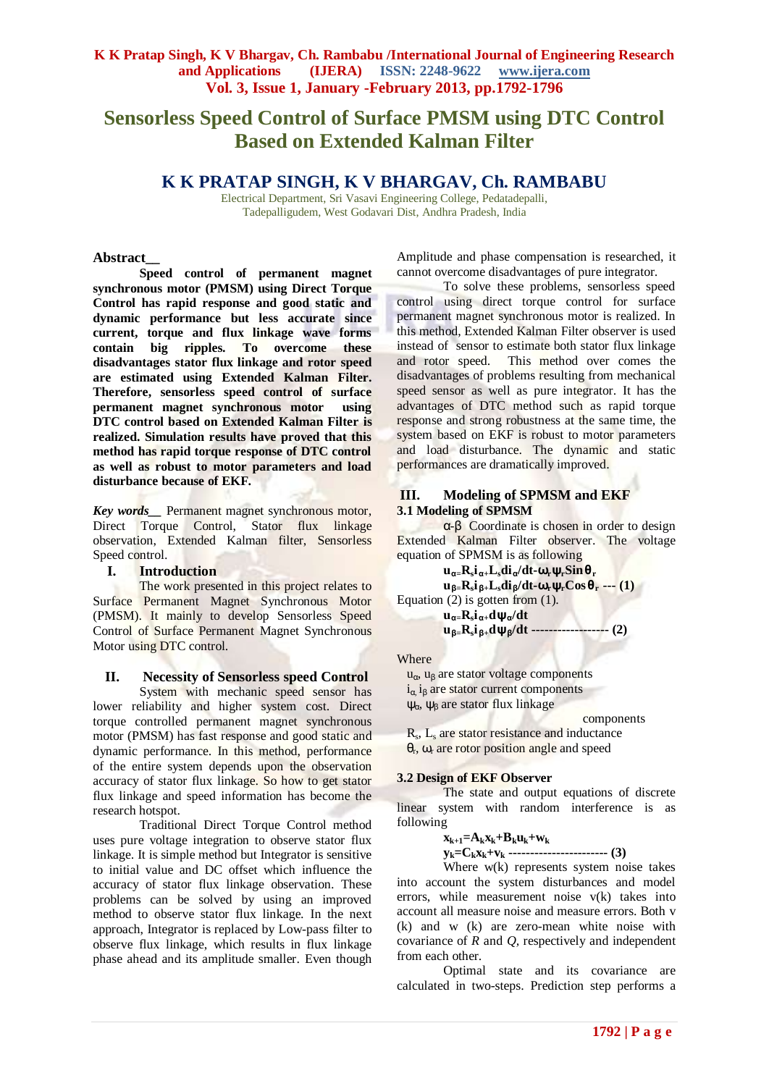# **Sensorless Speed Control of Surface PMSM using DTC Control Based on Extended Kalman Filter**

## **K K PRATAP SINGH, K V BHARGAV, Ch. RAMBABU**

Electrical Department, Sri Vasavi Engineering College, Pedatadepalli, Tadepalligudem, West Godavari Dist, Andhra Pradesh, India

#### **Abstract\_\_**

**Speed control of permanent magnet synchronous motor (PMSM) using Direct Torque Control has rapid response and good static and dynamic performance but less accurate since current, torque and flux linkage wave forms contain big ripples. To overcome these disadvantages stator flux linkage and rotor speed are estimated using Extended Kalman Filter. Therefore, sensorless speed control of surface permanent magnet synchronous motor using DTC control based on Extended Kalman Filter is realized. Simulation results have proved that this method has rapid torque response of DTC control as well as robust to motor parameters and load disturbance because of EKF.**

*Key words\_\_* Permanent magnet synchronous motor, Direct Torque Control, Stator flux linkage observation, Extended Kalman filter, Sensorless Speed control.

#### **I. Introduction**

The work presented in this project relates to Surface Permanent Magnet Synchronous Motor (PMSM). It mainly to develop Sensorless Speed Control of Surface Permanent Magnet Synchronous Motor using DTC control.

#### **II. Necessity of Sensorless speed Control**

System with mechanic speed sensor has lower reliability and higher system cost. Direct torque controlled permanent magnet synchronous motor (PMSM) has fast response and good static and dynamic performance. In this method, performance of the entire system depends upon the observation accuracy of stator flux linkage. So how to get stator flux linkage and speed information has become the research hotspot.

Traditional Direct Torque Control method uses pure voltage integration to observe stator flux linkage. It is simple method but Integrator is sensitive to initial value and DC offset which influence the accuracy of stator flux linkage observation. These problems can be solved by using an improved method to observe stator flux linkage. In the next approach, Integrator is replaced by Low-pass filter to observe flux linkage, which results in flux linkage phase ahead and its amplitude smaller. Even though

Amplitude and phase compensation is researched, it cannot overcome disadvantages of pure integrator.

To solve these problems, sensorless speed control using direct torque control for surface permanent magnet synchronous motor is realized. In this method, Extended Kalman Filter observer is used instead of sensor to estimate both stator flux linkage and rotor speed. This method over comes the disadvantages of problems resulting from mechanical speed sensor as well as pure integrator. It has the advantages of DTC method such as rapid torque response and strong robustness at the same time, the system based on EKF is robust to motor parameters and load disturbance. The dynamic and static performances are dramatically improved.

## **III. Modeling of SPMSM and EKF 3.1 Modeling of SPMSM**

α-β Coordinate is chosen in order to design Extended Kalman Filter observer. The voltage equation of SPMSM is as following

**u<sup>α</sup>=R<sup>s</sup> i<sup>α</sup>+Lsdiα/dt-ωrψrSinθ<sup>r</sup> u<sup>β</sup>=R<sup>s</sup> i <sup>β</sup>+Lsdiβ/dt-ωrψrCosθ<sup>r</sup> --- (1)** Equation  $(2)$  is gotten from  $(1)$ . **u<sup>α</sup>=R<sup>s</sup> i<sup>α</sup>+dψα/dt u<sup>β</sup>=R<sup>s</sup> i <sup>β</sup>+dψβ/dt ------------------ (2)**

Where

 $u_{\alpha}$ ,  $u_{\beta}$  are stator voltage components  $i_{\alpha}$ ,  $i_{\beta}$  are stator current components  $ψ<sub>α</sub>$ ,  $ψ<sub>β</sub>$  are stator flux linkage

components

R<sub>s</sub>, L<sub>s</sub> are stator resistance and inductance  $θ_r$ ,  $ω_r$  are rotor position angle and speed

#### **3.2 Design of EKF Observer**

The state and output equations of discrete linear system with random interference is as following

#### $\mathbf{x}_{k+1} = \mathbf{A}_k \mathbf{x}_k + \mathbf{B}_k \mathbf{u}_k + \mathbf{w}_k$

**yk=Ckxk+v<sup>k</sup> ----------------------- (3)** 

Where w(k) represents system noise takes into account the system disturbances and model errors, while measurement noise v(k) takes into account all measure noise and measure errors. Both v (k) and w (k) are zero-mean white noise with covariance of *R* and *Q,* respectively and independent from each other.

Optimal state and its covariance are calculated in two-steps. Prediction step performs a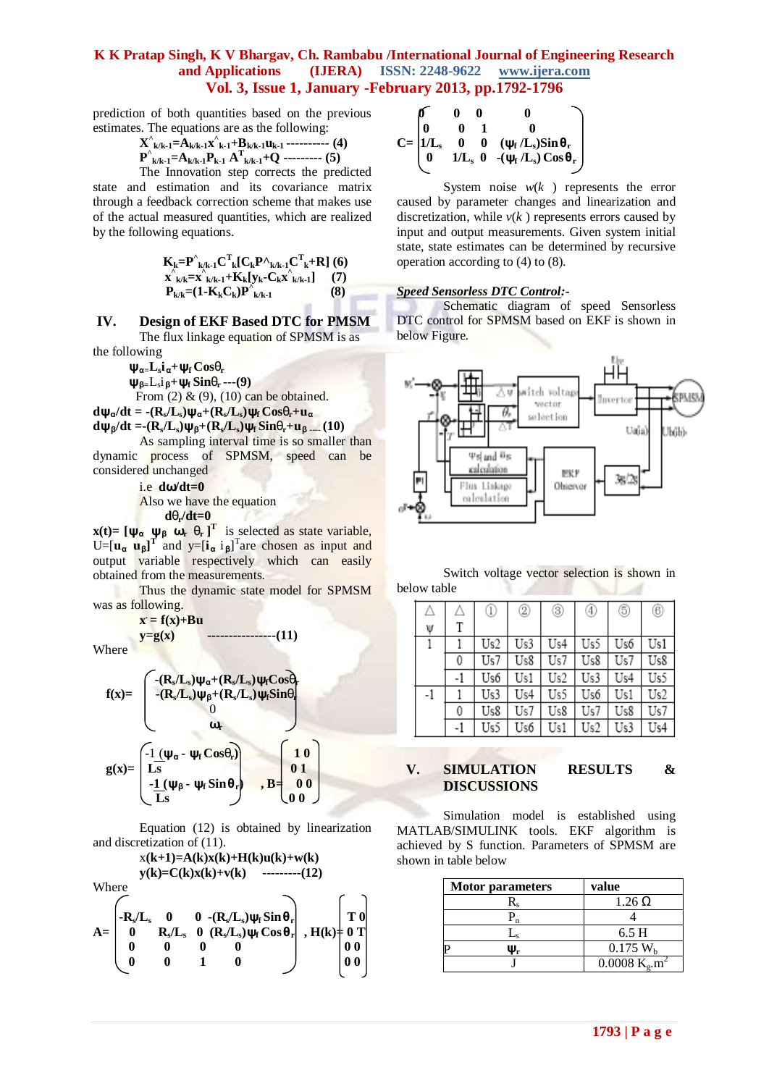prediction of both quantities based on the previous estimates. The equations are as the following:

 $\mathbf{X}^{\wedge}_{\mathbf{k}/\mathbf{k-1}} = \mathbf{A}_{\mathbf{k}/\mathbf{k-1}} \mathbf{x}^{\wedge}_{\mathbf{k-1}} + \mathbf{B}_{\mathbf{k}/\mathbf{k-1}} \mathbf{u}_{\mathbf{k-1}}$  ---------- **(4)**  $P^{\uparrow}{}_{k/k-1} = A_{k/k-1}P_{k-1}A^{T}{}_{k/k-1} + Q$  --------- (5)

The Innovation step corrects the predicted state and estimation and its covariance matrix through a feedback correction scheme that makes use of the actual measured quantities, which are realized by the following equations.

$$
K_{k} = P^{\hat{}}_{k/k-1} C^{T}{}_{k}[C_{k}P^{\hat{}}_{k/k-1} C^{T}{}_{k} + R] (6)
$$
  
x^k<sub>k/k</sub>=x^k<sub>k/k-1</sub>+K<sub>k</sub>[y<sub>k</sub>-C<sub>k</sub>x^k<sub>k/k-1</sub>] (7)  
P<sub>k/k</sub>= (1-K<sub>k</sub>C<sub>k</sub>)P^k<sub>k/k-1</sub> (8)

**IV. Design of EKF Based DTC for PMSM**

The flux linkage equation of SPMSM is as the following

 $\mathbf{\Psi}_{\alpha} = \mathbf{L}_{\mathbf{s}} \mathbf{i}_{\alpha} + \mathbf{\Psi}_{\mathbf{f}} \mathbf{C} \mathbf{0} \mathbf{s} \mathbf{\theta}_{\mathbf{r}}$ 

 **ψ<sup>β</sup>=**L<sup>s</sup> i **<sup>β</sup>+ψf Sin**θ**r ---(9)**

From  $(2)$  &  $(9)$ ,  $(10)$  can be obtained.

**dψa**<sup> $\ell$ </sup>**dt** =  $-(R_s/L_s)\psi_\alpha+(R_s/L_s)\psi_f\cos\theta_r+u_\alpha$ 

$$
d\psi_{\beta}/dt = (R_s/L_s)\psi_{\beta} + (R_s/L_s)\psi_f \sin\theta_r + u_{\beta} \dots (10)
$$

As sampling interval time is so smaller than dynamic process of SPMSM, speed can be considered unchanged

i.e **dω/dt=0** 

Also we have the equation

 $d\theta_r/dt=0$ **x**(**t**)=  $[\psi_{\alpha} \ \psi_{\beta} \ \omega_{\text{r}} \ \theta_{\text{r}}]^{\text{T}}$  is selected as state variable,  $U=[\mathbf{u}_{\alpha} \ \mathbf{u}_{\beta}]^T$  and  $\mathbf{y}=[\mathbf{i}_{\alpha} \ \mathbf{i}_{\beta}]^T$  are chosen as input and output variable respectively which can easily obtained from the measurements.

Thus the dynamic state model for SPMSM was as following.

$$
x' = f(x)+Bu
$$
  
y=g(x) \t........(11)

Where

$$
f(x)=\begin{pmatrix}- (R_s/L_s)\psi_\alpha+(R_s/L_s)\psi_f Cos\theta\\ -(R_s/L_s)\psi_\beta+(R_s/L_s)\psi_f Sin\theta\\ 0\\ 0\\ \omega_r\end{pmatrix}
$$

$$
g(x)=\begin{pmatrix}-1&(\psi_\alpha\cdot\psi_f Cos\theta_r)\\ Ls\\ -\frac{1}{Ls}(\psi_\beta\cdot\psi_f Sin\theta_r)\\ Ls\end{pmatrix},\quad B=\begin{pmatrix}1&0\\0&1\\0&0\\0&0\end{pmatrix}
$$

Equation (12) is obtained by linearization and discretization of (11).

$$
x(k+1)=A(k)x(k)+H(k)u(k)+w(k)
$$
  
\nwhere  
\n
$$
A=\begin{bmatrix}\n-R_s/L_s & 0 & 0 & -(R_s/L_s)\psi_f \sin\theta_r \\
0 & R_s/L_s & 0 & (R_s/L_s)\psi_f \cos\theta_r \\
0 & 0 & 0 & 0 \\
0 & 0 & 1 & 0\n\end{bmatrix}, H(k)=\begin{bmatrix}\nT & 0 \\
0 & T & 0 \\
0 & 0 & 0 \\
0 & 0 & 0\n\end{bmatrix}
$$

$$
C\!\!=\!\!\begin{bmatrix} \textbf{0} & \textbf{0} & \textbf{0} & \textbf{0} \\ \textbf{0} & \textbf{0} & \textbf{1} & \textbf{0} \\ \textbf{1}/L_s & \textbf{0} & \textbf{0} & (\psi_f/L_s) Sin\, \theta_r \\ \textbf{0} & \textbf{1}/L_s & \textbf{0} & -(\psi_f/L_s) \, Cos\, \theta_r \end{bmatrix}
$$

System noise  $w(k)$  represents the error caused by parameter changes and linearization and discretization, while  $v(k)$  represents errors caused by input and output measurements. Given system initial state, state estimates can be determined by recursive operation according to (4) to (8).

#### *Speed Sensorless DTC Control:-*

Schematic diagram of speed Sensorless DTC control for SPMSM based on EKF is shown in below Figure.



 Switch voltage vector selection is shown in below table

| Δ<br>Ψ | T  | ⊕   | 2   | ⊚   | ④   | 6   | $_{\tiny{\textregistered}}$ |
|--------|----|-----|-----|-----|-----|-----|-----------------------------|
|        |    | Us2 | Us3 | Us4 | Us5 | Us6 | Us1                         |
|        |    | Us7 | Us8 | Us7 | Us8 | Us7 | Us8                         |
|        | -1 | Us6 | Us1 | Us2 | Us3 | Us4 | Us5                         |
| $-1$   |    | Us3 | Us4 | Us5 | Us6 | Us1 | Us2                         |
|        | 0  | Us8 | Us7 | Us8 | Us7 | Us8 | Us7                         |
|        |    | Us5 | Us6 | Us1 | Us2 | Us3 | Us4                         |

## **V. SIMULATION RESULTS & DISCUSSIONS**

Simulation model is established using MATLAB/SIMULINK tools. EKF algorithm is achieved by S function. Parameters of SPMSM are shown in table below

| <b>Motor parameters</b> | value                                   |
|-------------------------|-----------------------------------------|
|                         | $1.26 \Omega$                           |
|                         |                                         |
|                         | 6.5H                                    |
|                         | 0.175 W <sub>b</sub>                    |
|                         | $0.0008$ K <sub>g</sub> .m <sup>2</sup> |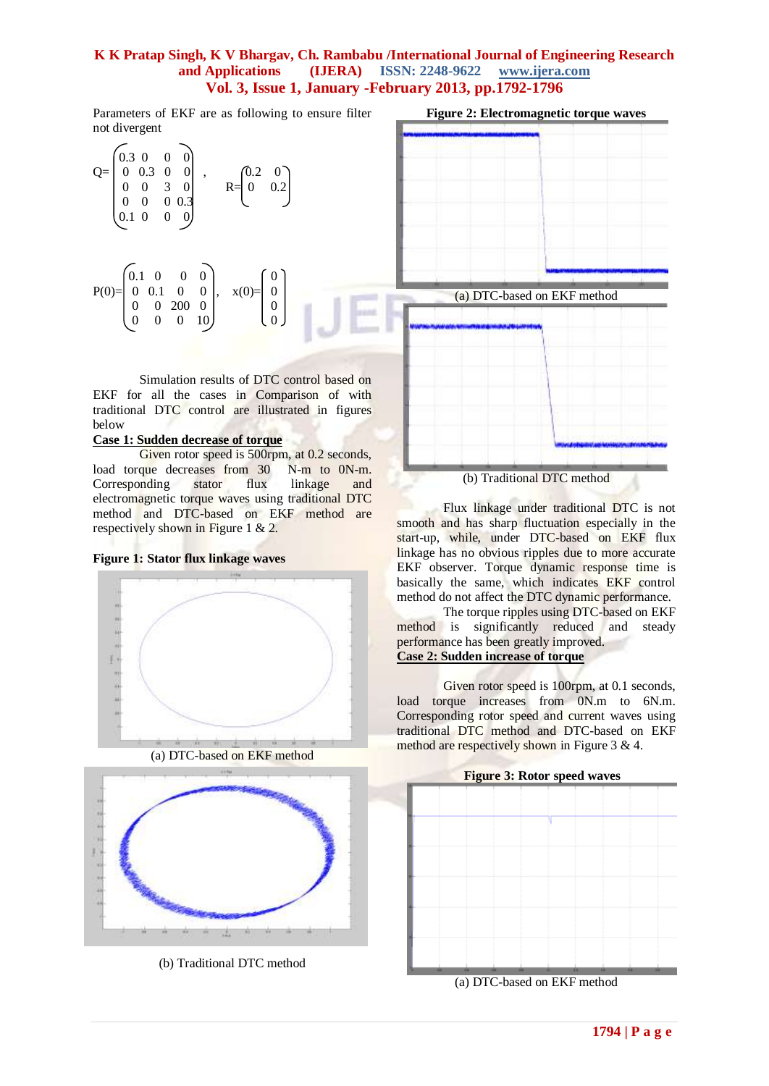Parameters of EKF are as following to ensure filter not divergent



Simulation results of DTC control based on EKF for all the cases in Comparison of with traditional DTC control are illustrated in figures below

#### **Case 1: Sudden decrease of torque**

Given rotor speed is 500rpm, at 0.2 seconds, load torque decreases from 30 N-m to 0N-m. Corresponding stator flux linkage and electromagnetic torque waves using traditional DTC method and DTC-based on EKF method are respectively shown in Figure 1 & 2.

## **Figure 1: Stator flux linkage waves**







(b) Traditional DTC method



Flux linkage under traditional DTC is not smooth and has sharp fluctuation especially in the start-up, while, under DTC-based on EKF flux linkage has no obvious ripples due to more accurate EKF observer. Torque dynamic response time is basically the same, which indicates EKF control method do not affect the DTC dynamic performance.

The torque ripples using DTC-based on EKF method is significantly reduced and steady performance has been greatly improved. **Case 2: Sudden increase of torque**

Given rotor speed is 100rpm, at 0.1 seconds, load torque increases from 0N.m to 6N.m. Corresponding rotor speed and current waves using traditional DTC method and DTC-based on EKF method are respectively shown in Figure 3 & 4.



(a) DTC-based on EKF method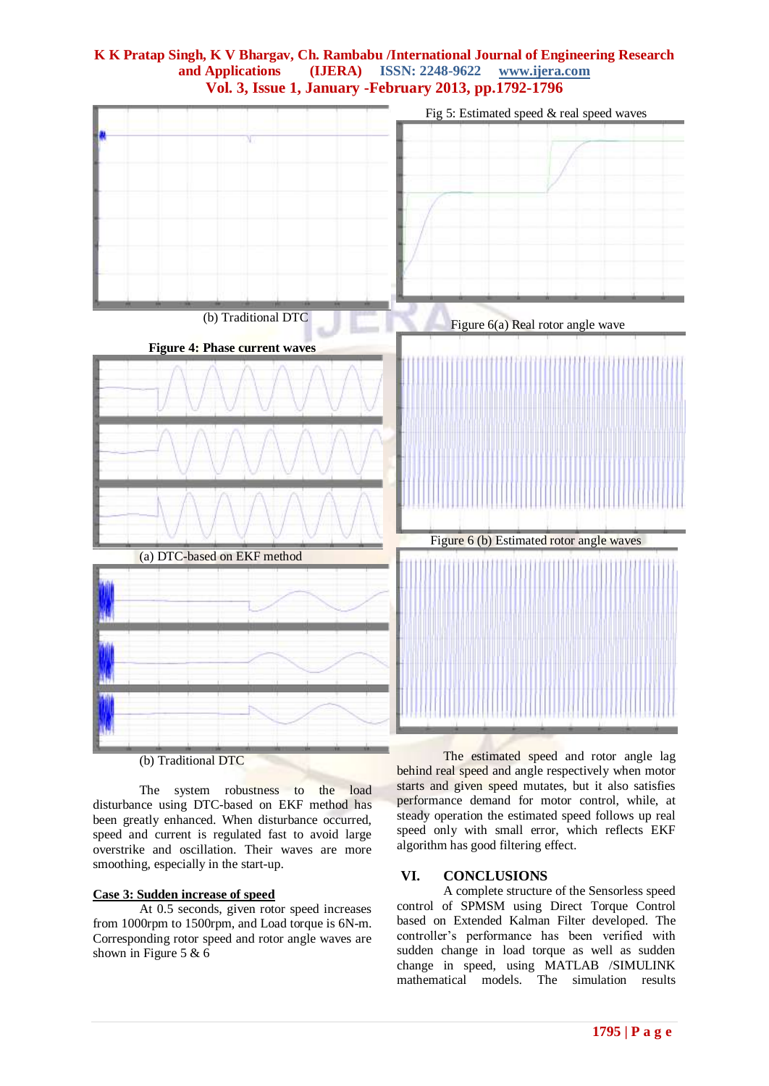

(b) Traditional DTC

The system robustness to the load disturbance using DTC-based on EKF method has been greatly enhanced. When disturbance occurred, speed and current is regulated fast to avoid large overstrike and oscillation. Their waves are more smoothing, especially in the start-up.

## **Case 3: Sudden increase of speed**

At 0.5 seconds, given rotor speed increases from 1000rpm to 1500rpm, and Load torque is 6N-m. Corresponding rotor speed and rotor angle waves are shown in Figure 5 & 6

The estimated speed and rotor angle lag behind real speed and angle respectively when motor starts and given speed mutates, but it also satisfies performance demand for motor control, while, at steady operation the estimated speed follows up real speed only with small error, which reflects EKF algorithm has good filtering effect.

## **VI. CONCLUSIONS**

A complete structure of the Sensorless speed control of SPMSM using Direct Torque Control based on Extended Kalman Filter developed. The controller's performance has been verified with sudden change in load torque as well as sudden change in speed, using MATLAB /SIMULINK mathematical models. The simulation results